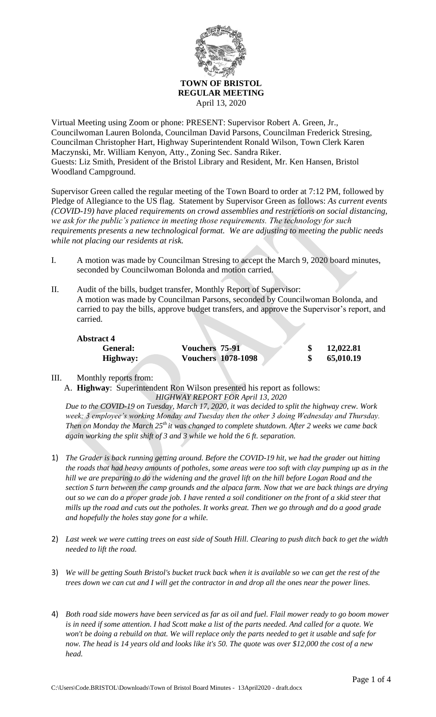

Virtual Meeting using Zoom or phone: PRESENT: Supervisor Robert A. Green, Jr., Councilwoman Lauren Bolonda, Councilman David Parsons, Councilman Frederick Stresing, Councilman Christopher Hart, Highway Superintendent Ronald Wilson, Town Clerk Karen Maczynski, Mr. William Kenyon, Atty., Zoning Sec. Sandra Riker. Guests: Liz Smith, President of the Bristol Library and Resident, Mr. Ken Hansen, Bristol Woodland Campground.

Supervisor Green called the regular meeting of the Town Board to order at 7:12 PM, followed by Pledge of Allegiance to the US flag. Statement by Supervisor Green as follows: *As current events (COVID-19) have placed requirements on crowd assemblies and restrictions on social distancing, we ask for the public's patience in meeting those requirements. The technology for such requirements presents a new technological format. We are adjusting to meeting the public needs while not placing our residents at risk.*

- I. A motion was made by Councilman Stresing to accept the March 9, 2020 board minutes, seconded by Councilwoman Bolonda and motion carried.
- II. Audit of the bills, budget transfer, Monthly Report of Supervisor: A motion was made by Councilman Parsons, seconded by Councilwoman Bolonda, and carried to pay the bills, approve budget transfers, and approve the Supervisor's report, and carried.

| <b>Abstract 4</b> |                           |           |
|-------------------|---------------------------|-----------|
| <b>General:</b>   | <b>Vouchers 75-91</b>     | 12,022.81 |
| Highway:          | <b>Vouchers 1078-1098</b> | 65,010.19 |

III. Monthly reports from:

A. **Highway**: Superintendent Ron Wilson presented his report as follows: *HIGHWAY REPORT FOR April 13, 2020*

*Due to the COVID-19 on Tuesday, March 17, 2020, it was decided to split the highway crew. Work week; 3 employee's working Monday and Tuesday then the other 3 doing Wednesday and Thursday. Then on Monday the March 25th it was changed to complete shutdown. After 2 weeks we came back again working the split shift of 3 and 3 while we hold the 6 ft. separation.*

- 1) *The Grader is back running getting around. Before the COVID-19 hit, we had the grader out hitting the roads that had heavy amounts of potholes, some areas were too soft with clay pumping up as in the hill we are preparing to do the widening and the gravel lift on the hill before Logan Road and the section S turn between the camp grounds and the alpaca farm. Now that we are back things are drying out so we can do a proper grade job. I have rented a soil conditioner on the front of a skid steer that mills up the road and cuts out the potholes. It works great. Then we go through and do a good grade and hopefully the holes stay gone for a while.*
- 2) *Last week we were cutting trees on east side of South Hill. Clearing to push ditch back to get the width needed to lift the road.*
- 3) *We will be getting South Bristol's bucket truck back when it is available so we can get the rest of the trees down we can cut and I will get the contractor in and drop all the ones near the power lines.*
- 4) *Both road side mowers have been serviced as far as oil and fuel. Flail mower ready to go boom mower is in need if some attention. I had Scott make a list of the parts needed. And called for a quote. We won't be doing a rebuild on that. We will replace only the parts needed to get it usable and safe for now. The head is 14 years old and looks like it's 50. The quote was over \$12,000 the cost of a new head.*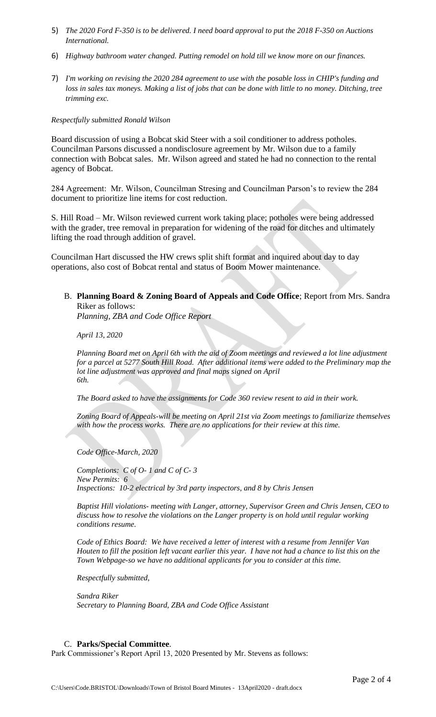- 5) *The 2020 Ford F-350 is to be delivered. I need board approval to put the 2018 F-350 on Auctions International.*
- 6) *Highway bathroom water changed. Putting remodel on hold till we know more on our finances.*
- 7) *I'm working on revising the 2020 284 agreement to use with the posable loss in CHIP's funding and loss in sales tax moneys. Making a list of jobs that can be done with little to no money. Ditching, tree trimming exc.*

### *Respectfully submitted Ronald Wilson*

Board discussion of using a Bobcat skid Steer with a soil conditioner to address potholes. Councilman Parsons discussed a nondisclosure agreement by Mr. Wilson due to a family connection with Bobcat sales. Mr. Wilson agreed and stated he had no connection to the rental agency of Bobcat.

284 Agreement: Mr. Wilson, Councilman Stresing and Councilman Parson's to review the 284 document to prioritize line items for cost reduction.

S. Hill Road – Mr. Wilson reviewed current work taking place; potholes were being addressed with the grader, tree removal in preparation for widening of the road for ditches and ultimately lifting the road through addition of gravel.

Councilman Hart discussed the HW crews split shift format and inquired about day to day operations, also cost of Bobcat rental and status of Boom Mower maintenance.

B. **Planning Board & Zoning Board of Appeals and Code Office**; Report from Mrs. Sandra Riker as follows:

*Planning, ZBA and Code Office Report* 

*April 13, 2020* 

*Planning Board met on April 6th with the aid of Zoom meetings and reviewed a lot line adjustment for a parcel at 5277 South Hill Road. After additional items were added to the Preliminary map the lot line adjustment was approved and final maps signed on April 6th.* 

*The Board asked to have the assignments for Code 360 review resent to aid in their work.* 

*Zoning Board of Appeals-will be meeting on April 21st via Zoom meetings to familiarize themselves*  with how the process works. There are no applications for their review at this time.

*Code Office-March, 2020* 

*Completions: C of O- 1 and C of C- 3 New Permits: 6 Inspections: 10-2 electrical by 3rd party inspectors, and 8 by Chris Jensen* 

*Baptist Hill violations- meeting with Langer, attorney, Supervisor Green and Chris Jensen, CEO to discuss how to resolve the violations on the Langer property is on hold until regular working conditions resume.* 

*Code of Ethics Board: We have received a letter of interest with a resume from Jennifer Van Houten to fill the position left vacant earlier this year. I have not had a chance to list this on the Town Webpage-so we have no additional applicants for you to consider at this time.* 

*Respectfully submitted,* 

*Sandra Riker Secretary to Planning Board, ZBA and Code Office Assistant*

### C. **Parks/Special Committee**.

Park Commissioner's Report April 13, 2020 Presented by Mr. Stevens as follows: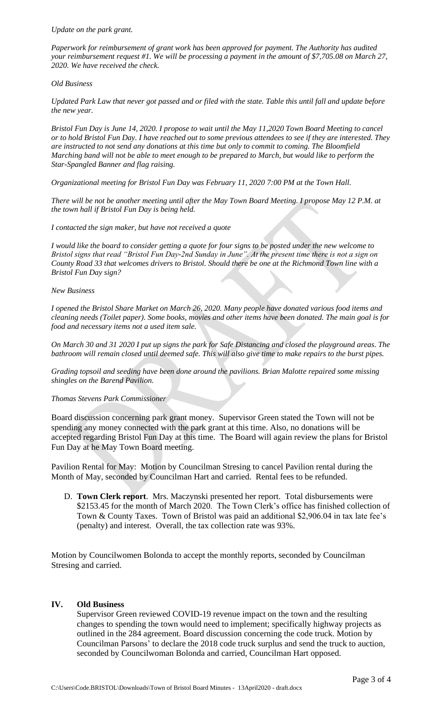*Paperwork for reimbursement of grant work has been approved for payment. The Authority has audited your reimbursement request #1. We will be processing a payment in the amount of \$7,705.08 on March 27, 2020. We have received the check.*

### *Old Business*

*Updated Park Law that never got passed and or filed with the state. Table this until fall and update before the new year.*

*Bristol Fun Day is June 14, 2020. I propose to wait until the May 11,2020 Town Board Meeting to cancel or to hold Bristol Fun Day. I have reached out to some previous attendees to see if they are interested. They are instructed to not send any donations at this time but only to commit to coming. The Bloomfield Marching band will not be able to meet enough to be prepared to March, but would like to perform the Star-Spangled Banner and flag raising.*

*Organizational meeting for Bristol Fun Day was February 11, 2020 7:00 PM at the Town Hall.* 

*There will be not be another meeting until after the May Town Board Meeting. I propose May 12 P.M. at the town hall if Bristol Fun Day is being held.* 

*I contacted the sign maker, but have not received a quote*

*I would like the board to consider getting a quote for four signs to be posted under the new welcome to Bristol signs that read "Bristol Fun Day-2nd Sunday in June". At the present time there is not a sign on County Road 33 that welcomes drivers to Bristol. Should there be one at the Richmond Town line with a Bristol Fun Day sign?*

#### *New Business*

*I opened the Bristol Share Market on March 26, 2020. Many people have donated various food items and cleaning needs (Toilet paper). Some books, movies and other items have been donated. The main goal is for food and necessary items not a used item sale.*

*On March 30 and 31 2020 I put up signs the park for Safe Distancing and closed the playground areas. The bathroom will remain closed until deemed safe. This will also give time to make repairs to the burst pipes.*

*Grading topsoil and seeding have been done around the pavilions. Brian Malotte repaired some missing shingles on the Barend Pavilion.* 

### *Thomas Stevens Park Commissioner*

Board discussion concerning park grant money. Supervisor Green stated the Town will not be spending any money connected with the park grant at this time. Also, no donations will be accepted regarding Bristol Fun Day at this time. The Board will again review the plans for Bristol Fun Day at he May Town Board meeting.

Pavilion Rental for May: Motion by Councilman Stresing to cancel Pavilion rental during the Month of May, seconded by Councilman Hart and carried. Rental fees to be refunded.

D. **Town Clerk report**. Mrs. Maczynski presented her report. Total disbursements were \$2153.45 for the month of March 2020. The Town Clerk's office has finished collection of Town & County Taxes. Town of Bristol was paid an additional \$2,906.04 in tax late fee's (penalty) and interest. Overall, the tax collection rate was 93%.

Motion by Councilwomen Bolonda to accept the monthly reports, seconded by Councilman Stresing and carried.

## **IV. Old Business**

Supervisor Green reviewed COVID-19 revenue impact on the town and the resulting changes to spending the town would need to implement; specifically highway projects as outlined in the 284 agreement. Board discussion concerning the code truck. Motion by Councilman Parsons' to declare the 2018 code truck surplus and send the truck to auction, seconded by Councilwoman Bolonda and carried, Councilman Hart opposed.